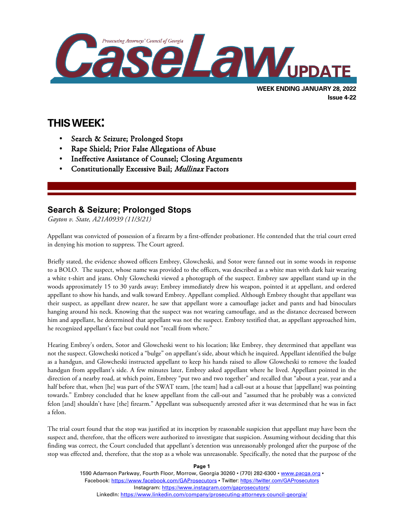

# **THIS WEEK:**

l

- Search & Seizure; Prolonged Stops
- Rape Shield; Prior False Allegations of Abuse
- Ineffective Assistance of Counsel; Closing Arguments
- Constitutionally Excessive Bail; Mullinax Factors

# **Search & Seizure; Prolonged Stops**

*Gayton v. State, A21A0939 (11/3/21)*

Appellant was convicted of possession of a firearm by a first-offender probationer. He contended that the trial court erred in denying his motion to suppress. The Court agreed.

Briefly stated, the evidence showed officers Embrey, Glowcheski, and Sotor were fanned out in some woods in response to a BOLO. The suspect, whose name was provided to the officers, was described as a white man with dark hair wearing a white t-shirt and jeans. Only Glowcheski viewed a photograph of the suspect. Embrey saw appellant stand up in the woods approximately 15 to 30 yards away; Embrey immediately drew his weapon, pointed it at appellant, and ordered appellant to show his hands, and walk toward Embrey. Appellant complied. Although Embrey thought that appellant was their suspect, as appellant drew nearer, he saw that appellant wore a camouflage jacket and pants and had binoculars hanging around his neck. Knowing that the suspect was not wearing camouflage, and as the distance decreased between him and appellant, he determined that appellant was not the suspect. Embrey testified that, as appellant approached him, he recognized appellant's face but could not "recall from where."

Hearing Embrey's orders, Sotor and Glowcheski went to his location; like Embrey, they determined that appellant was not the suspect. Glowcheski noticed a "bulge" on appellant's side, about which he inquired. Appellant identified the bulge as a handgun, and Glowcheski instructed appellant to keep his hands raised to allow Glowcheski to remove the loaded handgun from appellant's side. A few minutes later, Embrey asked appellant where he lived. Appellant pointed in the direction of a nearby road, at which point, Embrey "put two and two together" and recalled that "about a year, year and a half before that, when [he] was part of the SWAT team, [the team] had a call-out at a house that [appellant] was pointing towards." Embrey concluded that he knew appellant from the call-out and "assumed that he probably was a convicted felon [and] shouldn't have [the] firearm." Appellant was subsequently arrested after it was determined that he was in fact a felon.

The trial court found that the stop was justified at its inception by reasonable suspicion that appellant may have been the suspect and, therefore, that the officers were authorized to investigate that suspicion. Assuming without deciding that this finding was correct, the Court concluded that appellant's detention was unreasonably prolonged after the purpose of the stop was effected and, therefore, that the stop as a whole was unreasonable. Specifically, the noted that the purpose of the

**Page 1**

1590 Adamson Parkway, Fourth Floor, Morrow, Georgia 30260 · (770) 282-6300 · www.pacqa.org · Facebook:<https://www.facebook.com/GAProsecutors> . Twitter[: https://twitter.com/GAProsecutors](https://twitter.com/GAProsecutors) Instagram[: https://www.instagram.com/gaprosecutors/](https://www.instagram.com/gaprosecutors/) LinkedIn:<https://www.linkedin.com/company/prosecuting-attorneys-council-georgia/>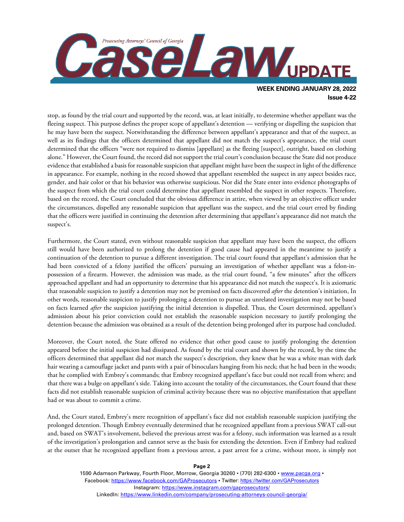

stop, as found by the trial court and supported by the record, was, at least initially, to determine whether appellant was the fleeing suspect. This purpose defines the proper scope of appellant's detention — verifying or dispelling the suspicion that he may have been the suspect. Notwithstanding the difference between appellant's appearance and that of the suspect, as well as its findings that the officers determined that appellant did not match the suspect's appearance, the trial court determined that the officers "were not required to dismiss [appellant] as the fleeing [suspect], outright, based on clothing alone." However, the Court found, the record did not support the trial court's conclusion because the State did not produce evidence that established a basis for reasonable suspicion that appellant might have been the suspect in light of the difference in appearance. For example, nothing in the record showed that appellant resembled the suspect in any aspect besides race, gender, and hair color or that his behavior was otherwise suspicious. Nor did the State enter into evidence photographs of the suspect from which the trial court could determine that appellant resembled the suspect in other respects. Therefore, based on the record, the Court concluded that the obvious difference in attire, when viewed by an objective officer under the circumstances, dispelled any reasonable suspicion that appellant was the suspect, and the trial court erred by finding that the officers were justified in continuing the detention after determining that appellant's appearance did not match the suspect's.

Furthermore, the Court stated, even without reasonable suspicion that appellant may have been the suspect, the officers still would have been authorized to prolong the detention if good cause had appeared in the meantime to justify a continuation of the detention to pursue a different investigation. The trial court found that appellant's admission that he had been convicted of a felony justified the officers' pursuing an investigation of whether appellant was a felon-inpossession of a firearm. However, the admission was made, as the trial court found, "a few minutes" after the officers approached appellant and had an opportunity to determine that his appearance did not match the suspect's. It is axiomatic that reasonable suspicion to justify a detention may not be premised on facts discovered *after* the detention's initiation, In other words, reasonable suspicion to justify prolonging a detention to pursue an unrelated investigation may not be based on facts learned *after* the suspicion justifying the initial detention is dispelled. Thus, the Court determined, appellant's admission about his prior conviction could not establish the reasonable suspicion necessary to justify prolonging the detention because the admission was obtained as a result of the detention being prolonged after its purpose had concluded.

Moreover, the Court noted, the State offered no evidence that other good cause to justify prolonging the detention appeared before the initial suspicion had dissipated. As found by the trial court and shown by the record, by the time the officers determined that appellant did not match the suspect's description, they knew that he was a white man with dark hair wearing a camouflage jacket and pants with a pair of binoculars hanging from his neck; that he had been in the woods; that he complied with Embrey's commands; that Embrey recognized appellant's face but could not recall from where; and that there was a bulge on appellant's side. Taking into account the totality of the circumstances, the Court found that these facts did not establish reasonable suspicion of criminal activity because there was no objective manifestation that appellant had or was about to commit a crime.

And, the Court stated, Embrey's mere recognition of appellant's face did not establish reasonable suspicion justifying the prolonged detention. Though Embrey eventually determined that he recognized appellant from a previous SWAT call-out and, based on SWAT's involvement, believed the previous arrest was for a felony, such information was learned as a result of the investigation's prolongation and cannot serve as the basis for extending the detention. Even if Embrey had realized at the outset that he recognized appellant from a previous arrest, a past arrest for a crime, without more, is simply not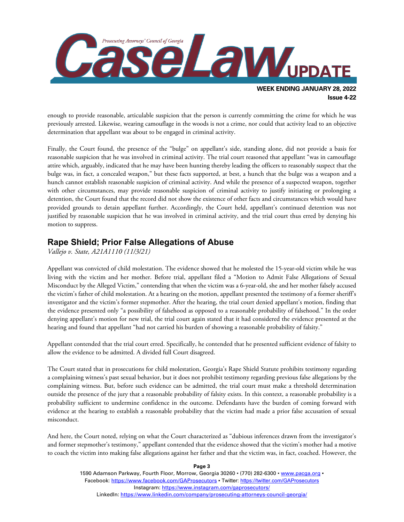

enough to provide reasonable, articulable suspicion that the person is currently committing the crime for which he was previously arrested. Likewise, wearing camouflage in the woods is not a crime, nor could that activity lead to an objective determination that appellant was about to be engaged in criminal activity.

Finally, the Court found, the presence of the "bulge" on appellant's side, standing alone, did not provide a basis for reasonable suspicion that he was involved in criminal activity. The trial court reasoned that appellant "was in camouflage attire which, arguably, indicated that he may have been hunting thereby leading the officers to reasonably suspect that the bulge was, in fact, a concealed weapon," but these facts supported, at best, a hunch that the bulge was a weapon and a hunch cannot establish reasonable suspicion of criminal activity. And while the presence of a suspected weapon, together with other circumstances, may provide reasonable suspicion of criminal activity to justify initiating or prolonging a detention, the Court found that the record did not show the existence of other facts and circumstances which would have provided grounds to detain appellant further. Accordingly, the Court held, appellant's continued detention was not justified by reasonable suspicion that he was involved in criminal activity, and the trial court thus erred by denying his motion to suppress.

#### **Rape Shield; Prior False Allegations of Abuse**

*Vallejo v. State, A21A1110 (11/3/21)*

Appellant was convicted of child molestation. The evidence showed that he molested the 15-year-old victim while he was living with the victim and her mother. Before trial, appellant filed a "Motion to Admit False Allegations of Sexual Misconduct by the Alleged Victim," contending that when the victim was a 6-year-old, she and her mother falsely accused the victim's father of child molestation. At a hearing on the motion, appellant presented the testimony of a former sheriff's investigator and the victim's former stepmother. After the hearing, the trial court denied appellant's motion, finding that the evidence presented only "a possibility of falsehood as opposed to a reasonable probability of falsehood." In the order denying appellant's motion for new trial, the trial court again stated that it had considered the evidence presented at the hearing and found that appellant "had not carried his burden of showing a reasonable probability of falsity."

Appellant contended that the trial court erred. Specifically, he contended that he presented sufficient evidence of falsity to allow the evidence to be admitted. A divided full Court disagreed.

The Court stated that in prosecutions for child molestation, Georgia's Rape Shield Statute prohibits testimony regarding a complaining witness's past sexual behavior, but it does not prohibit testimony regarding previous false allegations by the complaining witness. But, before such evidence can be admitted, the trial court must make a threshold determination outside the presence of the jury that a reasonable probability of falsity exists. In this context, a reasonable probability is a probability sufficient to undermine confidence in the outcome. Defendants have the burden of coming forward with evidence at the hearing to establish a reasonable probability that the victim had made a prior false accusation of sexual misconduct.

And here, the Court noted, relying on what the Court characterized as "dubious inferences drawn from the investigator's and former stepmother's testimony," appellant contended that the evidence showed that the victim's mother had a motive to coach the victim into making false allegations against her father and that the victim was, in fact, coached. However, the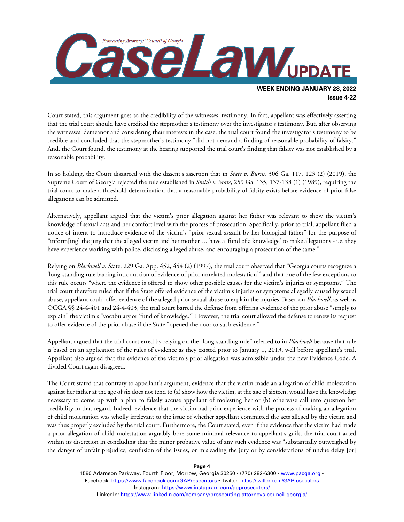

Court stated, this argument goes to the credibility of the witnesses' testimony. In fact, appellant was effectively asserting that the trial court should have credited the stepmother's testimony over the investigator's testimony. But, after observing the witnesses' demeanor and considering their interests in the case, the trial court found the investigator's testimony to be credible and concluded that the stepmother's testimony "did not demand a finding of reasonable probability of falsity." And, the Court found, the testimony at the hearing supported the trial court's finding that falsity was not established by a reasonable probability.

In so holding, the Court disagreed with the dissent's assertion that in *State v. Burns*, 306 Ga. 117, 123 (2) (2019), the Supreme Court of Georgia rejected the rule established in *Smith v. State*, 259 Ga. 135, 137-138 (1) (1989), requiring the trial court to make a threshold determination that a reasonable probability of falsity exists before evidence of prior false allegations can be admitted.

Alternatively, appellant argued that the victim's prior allegation against her father was relevant to show the victim's knowledge of sexual acts and her comfort level with the process of prosecution. Specifically, prior to trial, appellant filed a notice of intent to introduce evidence of the victim's "prior sexual assault by her biological father" for the purpose of "inform[ing] the jury that the alleged victim and her mother … have a 'fund of a knowledge' to make allegations - i.e. they have experience working with police, disclosing alleged abuse, and encouraging a prosecution of the same."

Relying on *Blackwell v. St*ate, 229 Ga. App. 452, 454 (2) (1997), the trial court observed that "Georgia courts recognize a 'long-standing rule barring introduction of evidence of prior unrelated molestation'" and that one of the few exceptions to this rule occurs "where the evidence is offered to show other possible causes for the victim's injuries or symptoms." The trial court therefore ruled that if the State offered evidence of the victim's injuries or symptoms allegedly caused by sexual abuse, appellant could offer evidence of the alleged prior sexual abuse to explain the injuries. Based on *Blackwell*, as well as OCGA §§ 24-4-401 and 24-4-403, the trial court barred the defense from offering evidence of the prior abuse "simply to explain" the victim's "vocabulary or 'fund of knowledge.'" However, the trial court allowed the defense to renew its request to offer evidence of the prior abuse if the State "opened the door to such evidence."

Appellant argued that the trial court erred by relying on the "long-standing rule" referred to in *Blackwell* because that rule is based on an application of the rules of evidence as they existed prior to January 1, 2013, well before appellant's trial. Appellant also argued that the evidence of the victim's prior allegation was admissible under the new Evidence Code. A divided Court again disagreed.

The Court stated that contrary to appellant's argument, evidence that the victim made an allegation of child molestation against her father at the age of six does not tend to (a) show how the victim, at the age of sixteen, would have the knowledge necessary to come up with a plan to falsely accuse appellant of molesting her or (b) otherwise call into question her credibility in that regard. Indeed, evidence that the victim had prior experience with the process of making an allegation of child molestation was wholly irrelevant to the issue of whether appellant committed the acts alleged by the victim and was thus properly excluded by the trial court. Furthermore, the Court stated, even if the evidence that the victim had made a prior allegation of child molestation arguably bore some minimal relevance to appellant's guilt, the trial court acted within its discretion in concluding that the minor probative value of any such evidence was "substantially outweighed by the danger of unfair prejudice, confusion of the issues, or misleading the jury or by considerations of undue delay [or]

**Page 4**

1590 Adamson Parkway, Fourth Floor, Morrow, Georgia 30260 · (770) 282-6300 · www.pacqa.org · Facebook:<https://www.facebook.com/GAProsecutors> . Twitter[: https://twitter.com/GAProsecutors](https://twitter.com/GAProsecutors) Instagram[: https://www.instagram.com/gaprosecutors/](https://www.instagram.com/gaprosecutors/) LinkedIn:<https://www.linkedin.com/company/prosecuting-attorneys-council-georgia/>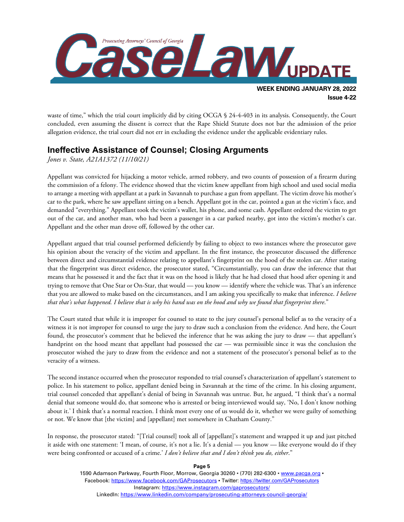

waste of time," which the trial court implicitly did by citing OCGA § 24-4-403 in its analysis. Consequently, the Court concluded, even assuming the dissent is correct that the Rape Shield Statute does not bar the admission of the prior allegation evidence, the trial court did not err in excluding the evidence under the applicable evidentiary rules.

### **Ineffective Assistance of Counsel; Closing Arguments**

*Jones v. State, A21A1372 (11/10/21)*

Appellant was convicted for hijacking a motor vehicle, armed robbery, and two counts of possession of a firearm during the commission of a felony. The evidence showed that the victim knew appellant from high school and used social media to arrange a meeting with appellant at a park in Savannah to purchase a gun from appellant. The victim drove his mother's car to the park, where he saw appellant sitting on a bench. Appellant got in the car, pointed a gun at the victim's face, and demanded "everything." Appellant took the victim's wallet, his phone, and some cash. Appellant ordered the victim to get out of the car, and another man, who had been a passenger in a car parked nearby, got into the victim's mother's car. Appellant and the other man drove off, followed by the other car.

Appellant argued that trial counsel performed deficiently by failing to object to two instances where the prosecutor gave his opinion about the veracity of the victim and appellant. In the first instance, the prosecutor discussed the difference between direct and circumstantial evidence relating to appellant's fingerprint on the hood of the stolen car. After stating that the fingerprint was direct evidence, the prosecutor stated, "Circumstantially, you can draw the inference that that means that he possessed it and the fact that it was on the hood is likely that he had closed that hood after opening it and trying to remove that One Star or On-Star, that would — you know — identify where the vehicle was. That's an inference that you are allowed to make based on the circumstances, and I am asking you specifically to make that inference. *I believe that that's what happened. I believe that is why his hand was on the hood and why we found that fingerprint there*."

The Court stated that while it is improper for counsel to state to the jury counsel's personal belief as to the veracity of a witness it is not improper for counsel to urge the jury to draw such a conclusion from the evidence. And here, the Court found, the prosecutor's comment that he believed the inference that he was asking the jury to draw — that appellant's handprint on the hood meant that appellant had possessed the car — was permissible since it was the conclusion the prosecutor wished the jury to draw from the evidence and not a statement of the prosecutor's personal belief as to the veracity of a witness.

The second instance occurred when the prosecutor responded to trial counsel's characterization of appellant's statement to police. In his statement to police, appellant denied being in Savannah at the time of the crime. In his closing argument, trial counsel conceded that appellant's denial of being in Savannah was untrue. But, he argued, "I think that's a normal denial that someone would do, that someone who is arrested or being interviewed would say, 'No, I don't know nothing about it.' I think that's a normal reaction. I think most every one of us would do it, whether we were guilty of something or not. We know that [the victim] and [appellant] met somewhere in Chatham County."

In response, the prosecutor stated: "[Trial counsel] took all of [appellant]'s statement and wrapped it up and just pitched it aside with one statement: 'I mean, of course, it's not a lie. It's a denial — you know — like everyone would do if they were being confronted or accused of a crime.' *I don't believe that and I don't think you do, either*."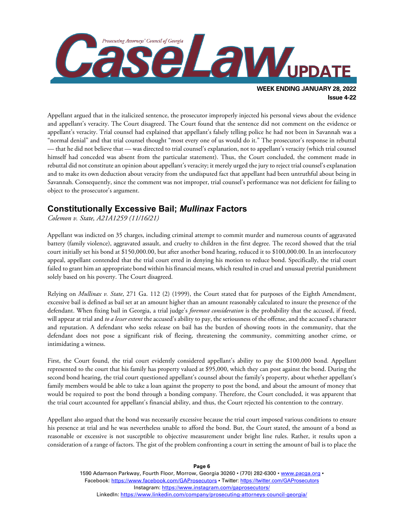

Appellant argued that in the italicized sentence, the prosecutor improperly injected his personal views about the evidence and appellant's veracity. The Court disagreed. The Court found that the sentence did not comment on the evidence or appellant's veracity. Trial counsel had explained that appellant's falsely telling police he had not been in Savannah was a "normal denial" and that trial counsel thought "most every one of us would do it." The prosecutor's response in rebuttal — that he did not believe that — was directed to trial counsel's explanation, not to appellant's veracity (which trial counsel himself had conceded was absent from the particular statement). Thus, the Court concluded, the comment made in rebuttal did not constitute an opinion about appellant's veracity; it merely urged the jury to reject trial counsel's explanation and to make its own deduction about veracity from the undisputed fact that appellant had been untruthful about being in Savannah. Consequently, since the comment was not improper, trial counsel's performance was not deficient for failing to object to the prosecutor's argument.

## **Constitutionally Excessive Bail;** *Mullinax* **Factors**

*Colemon v. State, A21A1259 (11/16/21)*

Appellant was indicted on 35 charges, including criminal attempt to commit murder and numerous counts of aggravated battery (family violence), aggravated assault, and cruelty to children in the first degree. The record showed that the trial court initially set his bond at \$150,000.00, but after another bond hearing, reduced it to \$100,000.00. In an interlocutory appeal, appellant contended that the trial court erred in denying his motion to reduce bond. Specifically, the trial court failed to grant him an appropriate bond within his financial means, which resulted in cruel and unusual pretrial punishment solely based on his poverty. The Court disagreed.

Relying on *Mullinax v. State*, 271 Ga. 112 (2) (1999), the Court stated that for purposes of the Eighth Amendment, excessive bail is defined as bail set at an amount higher than an amount reasonably calculated to insure the presence of the defendant. When fixing bail in Georgia, a trial judge's *foremost consideration* is the probability that the accused, if freed, will appear at trial and *to a lesser extent* the accused's ability to pay, the seriousness of the offense, and the accused's character and reputation. A defendant who seeks release on bail has the burden of showing roots in the community, that the defendant does not pose a significant risk of fleeing, threatening the community, committing another crime, or intimidating a witness.

First, the Court found, the trial court evidently considered appellant's ability to pay the \$100,000 bond. Appellant represented to the court that his family has property valued at \$95,000, which they can post against the bond. During the second bond hearing, the trial court questioned appellant's counsel about the family's property, about whether appellant's family members would be able to take a loan against the property to post the bond, and about the amount of money that would be required to post the bond through a bonding company. Therefore, the Court concluded, it was apparent that the trial court accounted for appellant's financial ability, and thus, the Court rejected his contention to the contrary.

Appellant also argued that the bond was necessarily excessive because the trial court imposed various conditions to ensure his presence at trial and he was nevertheless unable to afford the bond. But, the Court stated, the amount of a bond as reasonable or excessive is not susceptible to objective measurement under bright line rules. Rather, it results upon a consideration of a range of factors. The gist of the problem confronting a court in setting the amount of bail is to place the

> 1590 Adamson Parkway, Fourth Floor, Morrow, Georgia 30260 · (770) 282-6300 · [www.pacga.org](http://www.pacga.org/) · Facebook:<https://www.facebook.com/GAProsecutors> . Twitter[: https://twitter.com/GAProsecutors](https://twitter.com/GAProsecutors) Instagram[: https://www.instagram.com/gaprosecutors/](https://www.instagram.com/gaprosecutors/) LinkedIn:<https://www.linkedin.com/company/prosecuting-attorneys-council-georgia/>